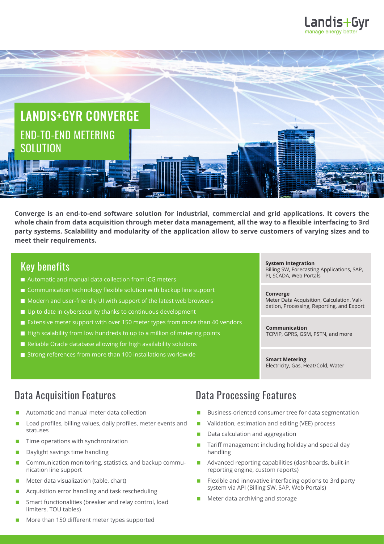



**Converge is an end-to-end software solution for industrial, commercial and grid applications. It covers the whole chain from data acquisition through meter data management, all the way to a flexible interfacing to 3rd party systems. Scalability and modularity of the application allow to serve customers of varying sizes and to meet their requirements.**

### Key benefits

- Automatic and manual data collection from ICG meters
- Communication technology flexible solution with backup line support
- Modern and user-friendly UI with support of the latest web browsers
- Up to date in cybersecurity thanks to continuous development
- Extensive meter support with over 150 meter types from more than 40 vendors
- High scalability from low hundreds to up to a million of metering points
- Reliable Oracle database allowing for high availability solutions
- Strong references from more than 100 installations worldwide

#### **System Integration** Billing SW, Forecasting Applications, SAP, PI, SCADA, Web Portals

**Converge** Meter Data Acquisition, Calculation, Validation, Processing, Reporting, and Export

**Communication** TCP/IP, GPRS, GSM, PSTN, and more

**Smart Metering** Electricity, Gas, Heat/Cold, Water

- Automatic and manual meter data collection
- Load profiles, billing values, daily profiles, meter events and statuses
- $\blacksquare$  Time operations with synchronization
- **Daylight savings time handling**
- **Communication monitoring, statistics, and backup commu**nication line support
- **Meter data visualization (table, chart)**
- **Acquisition error handling and task rescheduling**
- Smart functionalities (breaker and relay control, load limiters, TOU tables)
- More than 150 different meter types supported

## Data Acquisition Features **Data Processing Features**

- Business-oriented consumer tree for data segmentation
- Validation, estimation and editing (VEE) process
- Data calculation and aggregation
- Tariff management including holiday and special day handling
- Advanced reporting capabilities (dashboards, built-in reporting engine, custom reports)
- Flexible and innovative interfacing options to 3rd party system via API (Billing SW, SAP, Web Portals)
- Meter data archiving and storage